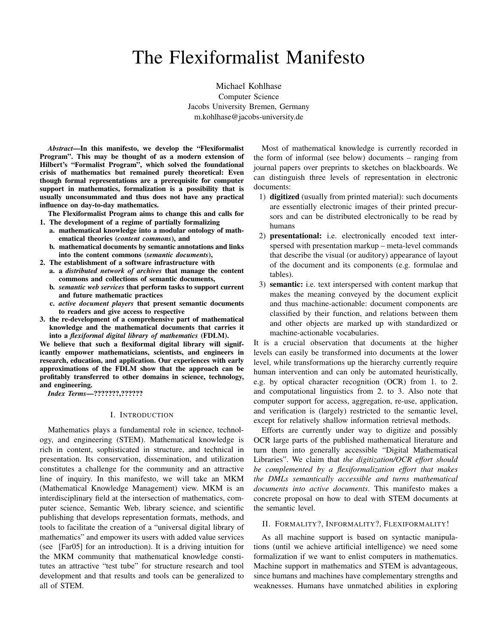# The Flexiformalist Manifesto

Michael Kohlhase Computer Science Jacobs University Bremen, Germany m.kohlhase@jacobs-university.de

*Abstract*—In this manifesto, we develop the "Flexiformalist Program". This may be thought of as a modern extension of Hilbert's "Formalist Program", which solved the foundational crisis of mathematics but remained purely theoretical: Even though formal representations are a prerequisite for computer support in mathematics, formalization is a possibility that is usually unconsummated and thus does not have any practical influence on day-to-day mathematics.

The Flexiformalist Program aims to change this and calls for 1. The development of a regime of partially formalizing

- a. mathematical knowledge into a modular ontology of mathematical theories (*content commons*), and
- b. mathematical documents by semantic annotations and links into the content commons (*semantic documents*),
- 2. The establishment of a software infrastructure with
	- a. a *distributed network of archives* that manage the content commons and collections of semantic documents,
	- b. *semantic web services* that perform tasks to support current and future mathematic practices
	- c. *active document players* that present semantic documents to readers and give access to respective
- 3. the re-development of a comprehensive part of mathematical knowledge and the mathematical documents that carries it into a *flexiformal digital library of mathematics* (FDLM).

We believe that such a flexiformal digital library will significantly empower mathematicians, scientists, and engineers in research, education, and application. Our experiences with early approximations of the FDLM show that the approach can be profitably transferred to other domains in science, technology, and engineering.

*Index Terms*—???????,??????

# I. INTRODUCTION

Mathematics plays a fundamental role in science, technology, and engineering (STEM). Mathematical knowledge is rich in content, sophisticated in structure, and technical in presentation. Its conservation, dissemination, and utilization constitutes a challenge for the community and an attractive line of inquiry. In this manifesto, we will take an MKM (Mathematical Knowledge Management) view. MKM is an interdisciplinary field at the intersection of mathematics, computer science, Semantic Web, library science, and scientific publishing that develops representation formats, methods, and tools to facilitate the creation of a "universal digital library of mathematics" and empower its users with added value services (see [Far05] for an introduction). It is a driving intuition for the MKM community that mathematical knowledge constitutes an attractive "test tube" for structure research and tool development and that results and tools can be generalized to all of STEM.

Most of mathematical knowledge is currently recorded in the form of informal (see below) documents – ranging from journal papers over preprints to sketches on blackboards. We can distinguish three levels of representation in electronic documents:

- 1) digitized (usually from printed material): such documents are essentially electronic images of their printed precursors and can be distributed electronically to be read by humans
- 2) presentational: i.e. electronically encoded text interspersed with presentation markup – meta-level commands that describe the visual (or auditory) appearance of layout of the document and its components (e.g. formulae and tables).
- 3) semantic: i.e. text interspersed with content markup that makes the meaning conveyed by the document explicit and thus machine-actionable: document components are classified by their function, and relations between them and other objects are marked up with standardized or machine-actionable vocabularies.

It is a crucial observation that documents at the higher levels can easily be transformed into documents at the lower level, while transformations up the hierarchy currently require human intervention and can only be automated heuristically, e.g. by optical character recognition (OCR) from 1. to 2. and computational linguistics from 2. to 3. Also note that computer support for access, aggregation, re-use, application, and verification is (largely) restricted to the semantic level, except for relatively shallow information retrieval methods.

Efforts are currently under way to digitize and possibly OCR large parts of the published mathematical literature and turn them into generally accessible "Digital Mathematical Libraries". We claim that *the digitization/OCR effort should be complemented by a flexiformalization effort that makes the DMLs semantically accessible and turns mathematical documents into active documents*. This manifesto makes a concrete proposal on how to deal with STEM documents at the semantic level.

#### II. FORMALITY?, INFORMALITY?, FLEXIFORMALITY!

As all machine support is based on syntactic manipulations (until we achieve artificial intelligence) we need some formalization if we want to enlist computers in mathematics. Machine support in mathematics and STEM is advantageous, since humans and machines have complementary strengths and weaknesses. Humans have unmatched abilities in exploring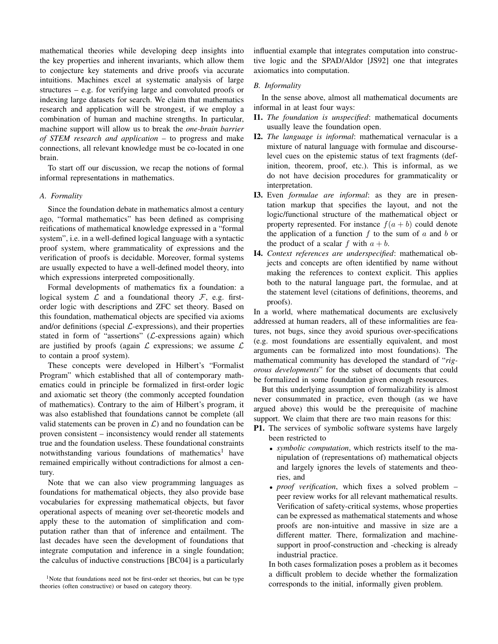mathematical theories while developing deep insights into the key properties and inherent invariants, which allow them to conjecture key statements and drive proofs via accurate intuitions. Machines excel at systematic analysis of large structures – e.g. for verifying large and convoluted proofs or indexing large datasets for search. We claim that mathematics research and application will be strongest, if we employ a combination of human and machine strengths. In particular, machine support will allow us to break the *one-brain barrier of STEM research and application* – to progress and make connections, all relevant knowledge must be co-located in one brain.

To start off our discussion, we recap the notions of formal informal representations in mathematics.

# *A. Formality*

Since the foundation debate in mathematics almost a century ago, "formal mathematics" has been defined as comprising reifications of mathematical knowledge expressed in a "formal system", i.e. in a well-defined logical language with a syntactic proof system, where grammaticality of expressions and the verification of proofs is decidable. Moreover, formal systems are usually expected to have a well-defined model theory, into which expressions interpreted compositionally.

Formal developments of mathematics fix a foundation: a logical system  $\mathcal L$  and a foundational theory  $\mathcal F$ , e.g. firstorder logic with descriptions and ZFC set theory. Based on this foundation, mathematical objects are specified via axioms and/or definitions (special  $\mathcal{L}$ -expressions), and their properties stated in form of "assertions"  $(L$ -expressions again) which are justified by proofs (again  $\mathcal L$  expressions; we assume  $\mathcal L$ to contain a proof system).

These concepts were developed in Hilbert's "Formalist Program" which established that all of contemporary mathematics could in principle be formalized in first-order logic and axiomatic set theory (the commonly accepted foundation of mathematics). Contrary to the aim of Hilbert's program, it was also established that foundations cannot be complete (all valid statements can be proven in  $\mathcal{L}$ ) and no foundation can be proven consistent – inconsistency would render all statements true and the foundation useless. These foundational constraints notwithstanding various foundations of mathematics<sup>1</sup> have remained empirically without contradictions for almost a century.

Note that we can also view programming languages as foundations for mathematical objects, they also provide base vocabularies for expressing mathematical objects, but favor operational aspects of meaning over set-theoretic models and apply these to the automation of simplification and computation rather than that of inference and entailment. The last decades have seen the development of foundations that integrate computation and inference in a single foundation; the calculus of inductive constructions [BC04] is a particularly influential example that integrates computation into constructive logic and the SPAD/Aldor [JS92] one that integrates axiomatics into computation.

#### *B. Informality*

In the sense above, almost all mathematical documents are informal in at least four ways:

- I1. *The foundation is unspecified*: mathematical documents usually leave the foundation open.
- I2. *The language is informal*: mathematical vernacular is a mixture of natural language with formulae and discourselevel cues on the epistemic status of text fragments (definition, theorem, proof, etc.). This is informal, as we do not have decision procedures for grammaticality or interpretation.
- I3. Even *formulae are informal*: as they are in presentation markup that specifies the layout, and not the logic/functional structure of the mathematical object or property represented. For instance  $f(a + b)$  could denote the application of a function  $f$  to the sum of  $a$  and  $b$  or the product of a scalar f with  $a + b$ .
- I4. *Context references are underspecified*: mathematical objects and concepts are often identified by name without making the references to context explicit. This applies both to the natural language part, the formulae, and at the statement level (citations of definitions, theorems, and proofs).

In a world, where mathematical documents are exclusively addressed at human readers, all of these informalities are features, not bugs, since they avoid spurious over-specifications (e.g. most foundations are essentially equivalent, and most arguments can be formalized into most foundations). The mathematical community has developed the standard of "*rigorous developments*" for the subset of documents that could be formalized in some foundation given enough resources.

But this underlying assumption of formalizability is almost never consummated in practice, even though (as we have argued above) this would be the prerequisite of machine support. We claim that there are two main reasons for this:

- P1. The services of symbolic software systems have largely been restricted to
	- *symbolic computation*, which restricts itself to the manipulation of (representations of) mathematical objects and largely ignores the levels of statements and theories, and
	- *proof verification*, which fixes a solved problem peer review works for all relevant mathematical results. Verification of safety-critical systems, whose properties can be expressed as mathematical statements and whose proofs are non-intuitive and massive in size are a different matter. There, formalization and machinesupport in proof-construction and -checking is already industrial practice.

In both cases formalization poses a problem as it becomes a difficult problem to decide whether the formalization corresponds to the initial, informally given problem.

<sup>&</sup>lt;sup>1</sup>Note that foundations need not be first-order set theories, but can be type theories (often constructive) or based on category theory.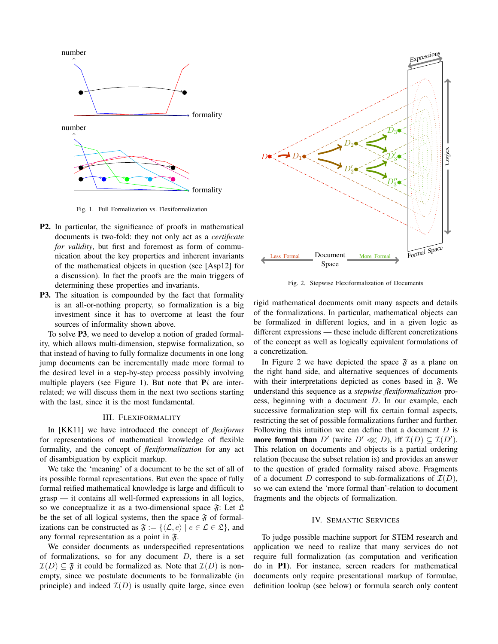

Fig. 1. Full Formalization vs. Flexiformalization

- P2. In particular, the significance of proofs in mathematical documents is two-fold: they not only act as a *certificate for validity*, but first and foremost as form of communication about the key properties and inherent invariants of the mathematical objects in question (see [Asp12] for a discussion). In fact the proofs are the main triggers of determining these properties and invariants.
- P3. The situation is compounded by the fact that formality is an all-or-nothing property, so formalization is a big investment since it has to overcome at least the four sources of informality shown above.

To solve P3, we need to develop a notion of graded formality, which allows multi-dimension, stepwise formalization, so that instead of having to fully formalize documents in one long jump documents can be incrementally made more formal to the desired level in a step-by-step process possibly involving multiple players (see Figure 1). But note that  $P_i$  are interrelated; we will discuss them in the next two sections starting with the last, since it is the most fundamental.

#### III. FLEXIFORMALITY

In [KK11] we have introduced the concept of *flexiforms* for representations of mathematical knowledge of flexible formality, and the concept of *flexiformalization* for any act of disambiguation by explicit markup.

We take the 'meaning' of a document to be the set of all of its possible formal representations. But even the space of fully formal reified mathematical knowledge is large and difficult to grasp — it contains all well-formed expressions in all logics, so we conceptualize it as a two-dimensional space  $\mathfrak{F}$ : Let  $\mathfrak{L}$ be the set of all logical systems, then the space  $\mathfrak F$  of formalizations can be constructed as  $\mathfrak{F} := \{ \langle \mathcal{L}, e \rangle \mid e \in \mathcal{L} \in \mathfrak{L} \},\$ and any formal representation as a point in  $\mathfrak{F}$ .

We consider documents as underspecified representations of formalizations, so for any document  $D$ , there is a set  $\mathcal{I}(D) \subseteq \mathfrak{F}$  it could be formalized as. Note that  $\mathcal{I}(D)$  is nonempty, since we postulate documents to be formalizable (in principle) and indeed  $\mathcal{I}(D)$  is usually quite large, since even



Fig. 2. Stepwise Flexiformalization of Documents

rigid mathematical documents omit many aspects and details of the formalizations. In particular, mathematical objects can be formalized in different logics, and in a given logic as different expressions — these include different concretizations of the concept as well as logically equivalent formulations of a concretization.

In Figure 2 we have depicted the space  $\mathfrak{F}$  as a plane on the right hand side, and alternative sequences of documents with their interpretations depicted as cones based in  $\mathfrak{F}$ . We understand this sequence as a *stepwise flexiformalization* process, beginning with a document D. In our example, each successive formalization step will fix certain formal aspects, restricting the set of possible formalizations further and further. Following this intuition we can define that a document  $D$  is more formal than D' (write  $D' \lll D$ ), iff  $\mathcal{I}(D) \subseteq \mathcal{I}(D')$ . This relation on documents and objects is a partial ordering relation (because the subset relation is) and provides an answer to the question of graded formality raised above. Fragments of a document D correspond to sub-formalizations of  $\mathcal{I}(D)$ , so we can extend the 'more formal than'-relation to document fragments and the objects of formalization.

#### IV. SEMANTIC SERVICES

To judge possible machine support for STEM research and application we need to realize that many services do not require full formalization (as computation and verification do in P1). For instance, screen readers for mathematical documents only require presentational markup of formulae, definition lookup (see below) or formula search only content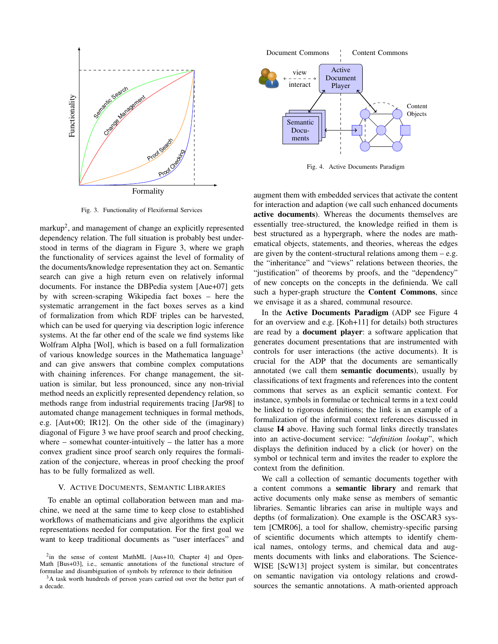

Fig. 3. Functionality of Flexiformal Services

markup<sup>2</sup>, and management of change an explicitly represented dependency relation. The full situation is probably best understood in terms of the diagram in Figure 3, where we graph the functionality of services against the level of formality of the documents/knowledge representation they act on. Semantic search can give a high return even on relatively informal documents. For instance the DBPedia system [Aue+07] gets by with screen-scraping Wikipedia fact boxes – here the systematic arrangement in the fact boxes serves as a kind of formalization from which RDF triples can be harvested, which can be used for querying via description logic inference systems. At the far other end of the scale we find systems like Wolfram Alpha [Wol], which is based on a full formalization of various knowledge sources in the Mathematica language<sup>3</sup> and can give answers that combine complex computations with chaining inferences. For change management, the situation is similar, but less pronounced, since any non-trivial method needs an explicitly represented dependency relation, so methods range from industrial requirements tracing [Jar98] to automated change management techniques in formal methods, e.g. [Aut+00; IR12]. On the other side of the (imaginary) diagonal of Figure 3 we have proof search and proof checking, where – somewhat counter-intuitively – the latter has a more convex gradient since proof search only requires the formalization of the conjecture, whereas in proof checking the proof has to be fully formalized as well.

# V. ACTIVE DOCUMENTS, SEMANTIC LIBRARIES

To enable an optimal collaboration between man and machine, we need at the same time to keep close to established workflows of mathematicians and give algorithms the explicit representations needed for computation. For the first goal we want to keep traditional documents as "user interfaces" and



Fig. 4. Active Documents Paradigm

augment them with embedded services that activate the content for interaction and adaption (we call such enhanced documents active documents). Whereas the documents themselves are essentially tree-structured, the knowledge reified in them is best structured as a hypergraph, where the nodes are mathematical objects, statements, and theories, whereas the edges are given by the content-structural relations among them  $-e.g.$ the "inheritance" and "views" relations between theories, the "justification" of theorems by proofs, and the "dependency" of new concepts on the concepts in the definienda. We call such a hyper-graph structure the Content Commons, since we envisage it as a shared, communal resource.

In the Active Documents Paradigm (ADP see Figure 4 for an overview and e.g. [Koh+11] for details) both structures are read by a document player: a software application that generates document presentations that are instrumented with controls for user interactions (the active documents). It is crucial for the ADP that the documents are semantically annotated (we call them semantic documents), usually by classifications of text fragments and references into the content commons that serves as an explicit semantic context. For instance, symbols in formulae or technical terms in a text could be linked to rigorous definitions; the link is an example of a formalization of the informal context references discussed in clause I4 above. Having such formal links directly translates into an active-document service: "*definition lookup*", which displays the definition induced by a click (or hover) on the symbol or technical term and invites the reader to explore the context from the definition.

We call a collection of semantic documents together with a content commons a semantic library and remark that active documents only make sense as members of semantic libraries. Semantic libraries can arise in multiple ways and depths (of formalization). One example is the OSCAR3 system [CMR06], a tool for shallow, chemistry-specific parsing of scientific documents which attempts to identify chemical names, ontology terms, and chemical data and augments documents with links and elaborations. The Science-WISE [ScW13] project system is similar, but concentrates on semantic navigation via ontology relations and crowdsources the semantic annotations. A math-oriented approach

<sup>&</sup>lt;sup>2</sup>in the sense of content MathML [Aus+10, Chapter 4] and Open-Math [Bus+03], i.e., semantic annotations of the functional structure of formulae and disambiguation of symbols by reference to their definition

<sup>&</sup>lt;sup>3</sup>A task worth hundreds of person years carried out over the better part of a decade.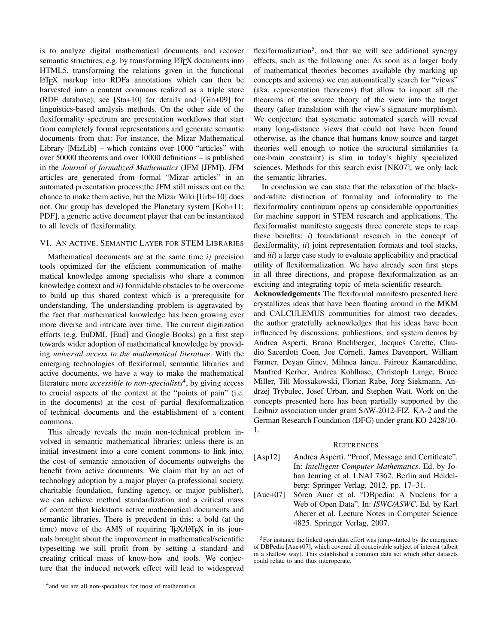is to analyze digital mathematical documents and recover semantic structures, e.g. by transforming LATEX documents into HTML5, transforming the relations given in the functional LATEX markup into RDFa annotations which can then be harvested into a content commons realized as a triple store (RDF database); see [Sta+10] for details and [Gin+09] for linguistics-based analysis methods. On the other side of the flexiformality spectrum are presentation workflows that start from completely formal representations and generate semantic documents from that: For instance, the Mizar Mathematical Library [MizLib] – which contains over 1000 "articles" with over 50000 theorems and over 10000 definitions – is published in the *Journal of formalized Mathematics* (JFM [JFM]). JFM articles are generated from formal "Mizar articles" in an automated presentation process;the JFM still misses out on the chance to make them active, but the Mizar Wiki [Urb+10] does not. Our group has developed the Planetary system [Koh+11; PDF], a generic active document player that can be instantiated to all levels of flexiformality.

## VI. AN ACTIVE, SEMANTIC LAYER FOR STEM LIBRARIES

Mathematical documents are at the same time *i)* precision tools optimized for the efficient communication of mathematical knowledge among specialists who share a common knowledge context and *ii)* formidable obstacles to be overcome to build up this shared context which is a prerequisite for understanding. The understanding problem is aggravated by the fact that mathematical knowledge has been growing ever more diverse and intricate over time. The current digitization efforts (e.g. EuDML [Eud] and Google Books) go a first step towards wider adoption of mathematical knowledge by providing *universal access to the mathematical literature*. With the emerging technologies of flexiformal, semantic libraries and active documents, we have a way to make the mathematical literature more *accessible to non-specialists*<sup>4</sup> , by giving access to crucial aspects of the context at the "points of pain" (i.e. in the documents) at the cost of partial flexiformalization of technical documents and the establishment of a content commons.

This already reveals the main non-technical problem involved in semantic mathematical libraries: unless there is an initial investment into a core content commons to link into, the cost of semantic annotation of documents outweighs the benefit from active documents. We claim that by an act of technology adoption by a major player (a professional society, charitable foundation, funding agency, or major publisher), we can achieve method standardization and a critical mass of content that kickstarts active mathematical documents and semantic libraries. There is precedent in this: a bold (at the time) move of the AMS of requiring T<sub>EX</sub>/LAT<sub>EX</sub> in its journals brought about the improvement in mathematical/scientific typesetting we still profit from by setting a standard and creating critical mass of know-how and tools. We conjecture that the induced network effect will lead to widespread

flexiformalization<sup>5</sup>, and that we will see additional synergy effects, such as the following one: As soon as a larger body of mathematical theories becomes available (by marking up concepts and axioms) we can automatically search for "views" (aka. representation theorems) that allow to import all the theorems of the source theory of the view into the target theory (after translation with the view's signature morphism). We conjecture that systematic automated search will reveal many long-distance views that could not have been found otherwise, as the chance that humans know source and target theories well enough to notice the structural similarities (a one-brain constraint) is slim in today's highly specialized sciences. Methods for this search exist [NK07], we only lack the semantic libraries.

In conclusion we can state that the relaxation of the blackand-white distinction of formality and informality to the flexiformality continuum opens up considerable opportunities for machine support in STEM research and applications. The flexiformalist manifesto suggests three concrete steps to reap these benefits: *i*) foundational research in the concept of flexiformality, *ii*) joint representation formats and tool stacks, and *iii*) a large case study to evaluate applicability and practical utility of flexiformalization. We have already seen first steps in all three directions, and propose flexiformalization as an exciting and integrating topic of meta-scientific research.

Acknowledgements The flexiformal manifesto presented here crystallizes ideas that have been floating around in the MKM and CALCULEMUS communities for almost two decades, the author gratefully acknowledges that his ideas have been influenced by discussions, publications, and system demos by Andrea Asperti, Bruno Buchberger, Jacques Carette, Claudio Sacerdoti Coen, Joe Corneli, James Davenport, William Farmer, Deyan Ginev, Mihnea Iancu, Fairouz Kamareddine, Manfred Kerber, Andrea Kohlhase, Christoph Lange, Bruce Miller, Till Mossakowski, Florian Rabe, Jörg Siekmann, Andrzej Trybulec, Josef Urban, and Stephen Watt. Work on the concepts presented here has been partially supported by the Leibniz association under grant SAW-2012-FIZ\_KA-2 and the German Research Foundation (DFG) under grant KO 2428/10- 1.

# **REFERENCES**

- [Asp12] Andrea Asperti. "Proof, Message and Certificate". In: *Intelligent Computer Mathematics*. Ed. by Johan Jeuring et al. LNAI 7362. Berlin and Heidelberg: Springer Verlag, 2012, pp. 17–31.
- [Aue+07] Sören Auer et al. "DBpedia: A Nucleus for a Web of Open Data". In: *ISWC/ASWC*. Ed. by Karl Aberer et al. Lecture Notes in Computer Science 4825. Springer Verlag, 2007.

<sup>5</sup>For instance the linked open data effort was jump-started by the emergence of DBPedia [Aue+07], which covered all conceivable subject of interest (albeit in a shallow way). This established a common data set which other datasets could relate to and thus interoperate.

<sup>4</sup> and we are all non-specialists for most of mathematics